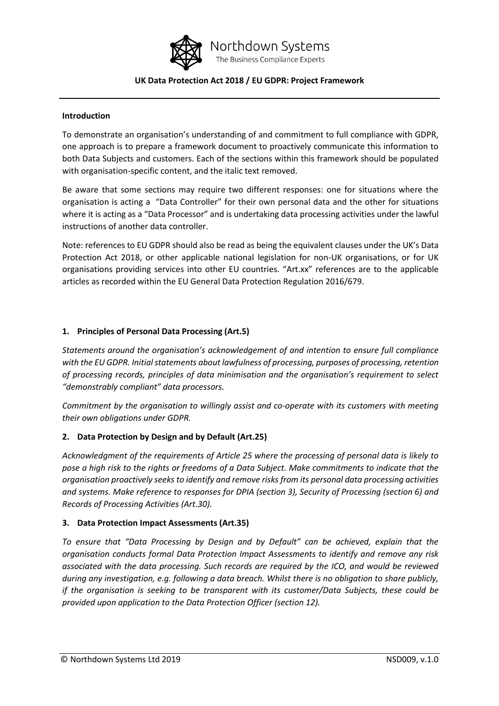

Northdown Systems The Business Compliance Experts

## **UK Data Protection Act 2018 / EU GDPR: Project Framework**

#### **Introduction**

To demonstrate an organisation's understanding of and commitment to full compliance with GDPR, one approach is to prepare a framework document to proactively communicate this information to both Data Subjects and customers. Each of the sections within this framework should be populated with organisation-specific content, and the italic text removed.

Be aware that some sections may require two different responses: one for situations where the organisation is acting a "Data Controller" for their own personal data and the other for situations where it is acting as a "Data Processor" and is undertaking data processing activities under the lawful instructions of another data controller.

Note: references to EU GDPR should also be read as being the equivalent clauses under the UK's Data Protection Act 2018, or other applicable national legislation for non-UK organisations, or for UK organisations providing services into other EU countries. "Art.xx" references are to the applicable articles as recorded within the EU General Data Protection Regulation 2016/679.

## **1. Principles of Personal Data Processing (Art.5)**

*Statements around the organisation's acknowledgement of and intention to ensure full compliance with the EU GDPR. Initial statements about lawfulness of processing, purposes of processing, retention of processing records, principles of data minimisation and the organisation's requirement to select "demonstrably compliant" data processors.*

*Commitment by the organisation to willingly assist and co-operate with its customers with meeting their own obligations under GDPR.*

# **2. Data Protection by Design and by Default (Art.25)**

*Acknowledgment of the requirements of Article 25 where the processing of personal data is likely to pose a high risk to the rights or freedoms of a Data Subject. Make commitments to indicate that the organisation proactively seeks to identify and remove risks from its personal data processing activities and systems. Make reference to responses for DPIA (section 3), Security of Processing (section 6) and Records of Processing Activities (Art.30).*

### **3. Data Protection Impact Assessments (Art.35)**

*To ensure that "Data Processing by Design and by Default" can be achieved, explain that the organisation conducts formal Data Protection Impact Assessments to identify and remove any risk associated with the data processing. Such records are required by the ICO, and would be reviewed during any investigation, e.g. following a data breach. Whilst there is no obligation to share publicly, if the organisation is seeking to be transparent with its customer/Data Subjects, these could be provided upon application to the Data Protection Officer (section 12).*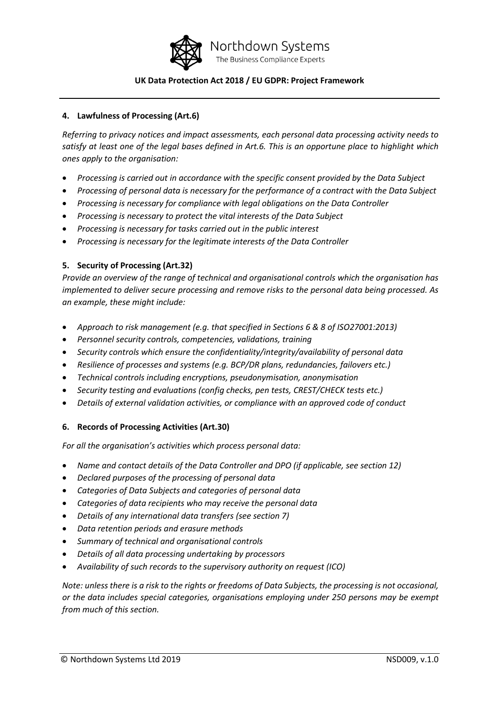

## **4. Lawfulness of Processing (Art.6)**

*Referring to privacy notices and impact assessments, each personal data processing activity needs to satisfy at least one of the legal bases defined in Art.6. This is an opportune place to highlight which ones apply to the organisation:*

- *Processing is carried out in accordance with the specific consent provided by the Data Subject*
- Processing of personal data is necessary for the performance of a contract with the Data Subject
- *Processing is necessary for compliance with legal obligations on the Data Controller*
- *Processing is necessary to protect the vital interests of the Data Subject*
- *Processing is necessary for tasks carried out in the public interest*
- *Processing is necessary for the legitimate interests of the Data Controller*

### **5. Security of Processing (Art.32)**

*Provide an overview of the range of technical and organisational controls which the organisation has implemented to deliver secure processing and remove risks to the personal data being processed. As an example, these might include:*

- *Approach to risk management (e.g. that specified in Sections 6 & 8 of ISO27001:2013)*
- *Personnel security controls, competencies, validations, training*
- *Security controls which ensure the confidentiality/integrity/availability of personal data*
- *Resilience of processes and systems (e.g. BCP/DR plans, redundancies, failovers etc.)*
- *Technical controls including encryptions, pseudonymisation, anonymisation*
- *Security testing and evaluations (config checks, pen tests, CREST/CHECK tests etc.)*
- *Details of external validation activities, or compliance with an approved code of conduct*

### **6. Records of Processing Activities (Art.30)**

*For all the organisation's activities which process personal data:*

- *Name and contact details of the Data Controller and DPO (if applicable, see section 12)*
- *Declared purposes of the processing of personal data*
- *Categories of Data Subjects and categories of personal data*
- *Categories of data recipients who may receive the personal data*
- *Details of any international data transfers (see section 7)*
- *Data retention periods and erasure methods*
- *Summary of technical and organisational controls*
- *Details of all data processing undertaking by processors*
- *Availability of such records to the supervisory authority on request (ICO)*

*Note: unless there is a risk to the rights or freedoms of Data Subjects, the processing is not occasional, or the data includes special categories, organisations employing under 250 persons may be exempt from much of this section.*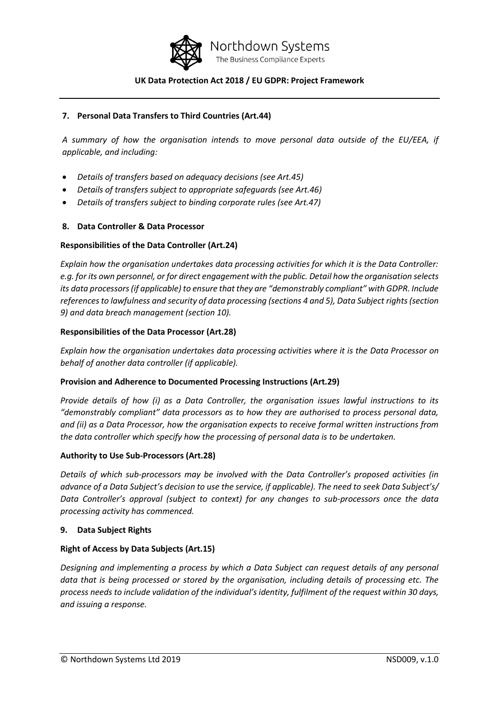

## **7. Personal Data Transfers to Third Countries (Art.44)**

*A summary of how the organisation intends to move personal data outside of the EU/EEA, if applicable, and including:*

- *Details of transfers based on adequacy decisions (see Art.45)*
- *Details of transfers subject to appropriate safeguards (see Art.46)*
- *Details of transfers subject to binding corporate rules (see Art.47)*

## **8. Data Controller & Data Processor**

### **Responsibilities of the Data Controller (Art.24)**

*Explain how the organisation undertakes data processing activities for which it is the Data Controller: e.g. for its own personnel, or for direct engagement with the public. Detail how the organisation selects its data processors (if applicable) to ensure that they are "demonstrably compliant" with GDPR. Include references to lawfulness and security of data processing (sections 4 and 5), Data Subject rights (section 9) and data breach management (section 10).* 

### **Responsibilities of the Data Processor (Art.28)**

*Explain how the organisation undertakes data processing activities where it is the Data Processor on behalf of another data controller (if applicable).*

### **Provision and Adherence to Documented Processing Instructions (Art.29)**

*Provide details of how (i) as a Data Controller, the organisation issues lawful instructions to its "demonstrably compliant" data processors as to how they are authorised to process personal data, and (ii) as a Data Processor, how the organisation expects to receive formal written instructions from the data controller which specify how the processing of personal data is to be undertaken.* 

### **Authority to Use Sub-Processors (Art.28)**

*Details of which sub-processors may be involved with the Data Controller's proposed activities (in advance of a Data Subject's decision to use the service, if applicable). The need to seek Data Subject's/ Data Controller's approval (subject to context) for any changes to sub-processors once the data processing activity has commenced.*

### **9. Data Subject Rights**

### **Right of Access by Data Subjects (Art.15)**

*Designing and implementing a process by which a Data Subject can request details of any personal data that is being processed or stored by the organisation, including details of processing etc. The process needs to include validation of the individual's identity, fulfilment of the request within 30 days, and issuing a response.*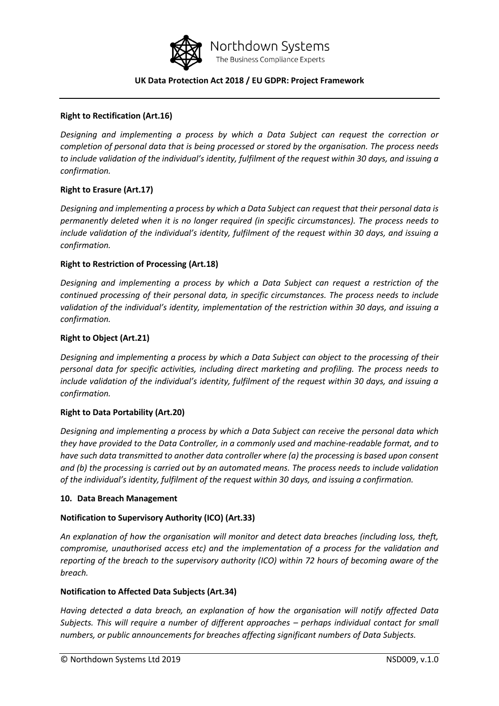

#### **Right to Rectification (Art.16)**

*Designing and implementing a process by which a Data Subject can request the correction or completion of personal data that is being processed or stored by the organisation. The process needs to include validation of the individual's identity, fulfilment of the request within 30 days, and issuing a confirmation.*

### **Right to Erasure (Art.17)**

*Designing and implementing a process by which a Data Subject can request that their personal data is permanently deleted when it is no longer required (in specific circumstances). The process needs to include validation of the individual's identity, fulfilment of the request within 30 days, and issuing a confirmation.*

#### **Right to Restriction of Processing (Art.18)**

*Designing and implementing a process by which a Data Subject can request a restriction of the continued processing of their personal data, in specific circumstances. The process needs to include validation of the individual's identity, implementation of the restriction within 30 days, and issuing a confirmation.*

#### **Right to Object (Art.21)**

*Designing and implementing a process by which a Data Subject can object to the processing of their personal data for specific activities, including direct marketing and profiling. The process needs to include validation of the individual's identity, fulfilment of the request within 30 days, and issuing a confirmation.*

### **Right to Data Portability (Art.20)**

*Designing and implementing a process by which a Data Subject can receive the personal data which they have provided to the Data Controller, in a commonly used and machine-readable format, and to have such data transmitted to another data controller where (a) the processing is based upon consent and (b) the processing is carried out by an automated means. The process needs to include validation of the individual's identity, fulfilment of the request within 30 days, and issuing a confirmation.*

#### **10. Data Breach Management**

### **Notification to Supervisory Authority (ICO) (Art.33)**

*An explanation of how the organisation will monitor and detect data breaches (including loss, theft, compromise, unauthorised access etc) and the implementation of a process for the validation and reporting of the breach to the supervisory authority (ICO) within 72 hours of becoming aware of the breach.*

#### **Notification to Affected Data Subjects (Art.34)**

*Having detected a data breach, an explanation of how the organisation will notify affected Data Subjects. This will require a number of different approaches – perhaps individual contact for small numbers, or public announcements for breaches affecting significant numbers of Data Subjects.*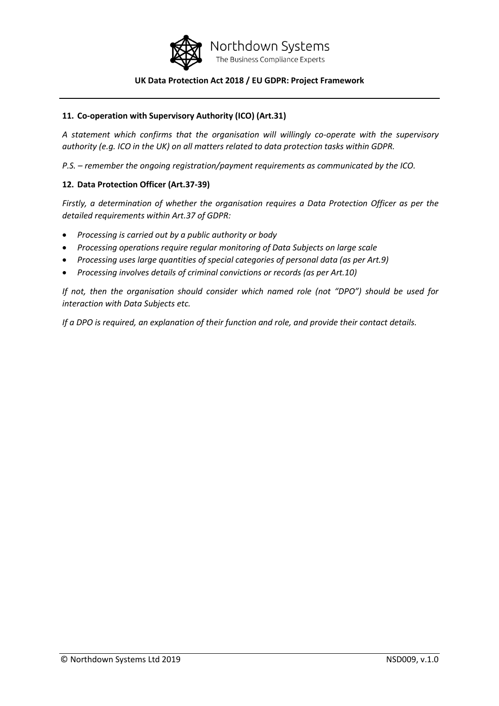

## **11. Co-operation with Supervisory Authority (ICO) (Art.31)**

*A statement which confirms that the organisation will willingly co-operate with the supervisory authority (e.g. ICO in the UK) on all matters related to data protection tasks within GDPR.*

*P.S. – remember the ongoing registration/payment requirements as communicated by the ICO.*

## **12. Data Protection Officer (Art.37-39)**

*Firstly, a determination of whether the organisation requires a Data Protection Officer as per the detailed requirements within Art.37 of GDPR:*

- *Processing is carried out by a public authority or body*
- *Processing operations require regular monitoring of Data Subjects on large scale*
- *Processing uses large quantities of special categories of personal data (as per Art.9)*
- *Processing involves details of criminal convictions or records (as per Art.10)*

*If not, then the organisation should consider which named role (not "DPO") should be used for interaction with Data Subjects etc.*

*If a DPO is required, an explanation of their function and role, and provide their contact details.*